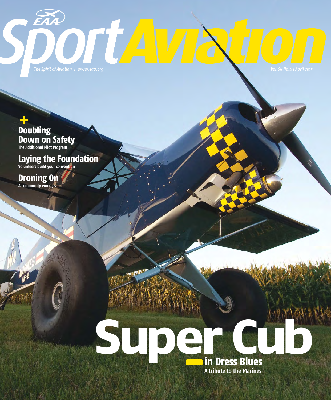DTUA

+ **Doubling Down on Safety The Additional Pilot Program**

EAA

### **Laying the Foundation Volunteers build your convention**

**Droning On A community emerges**

## **SUDE CUBB in Dress Blues A tribute to the Marines**

**AND YEAR**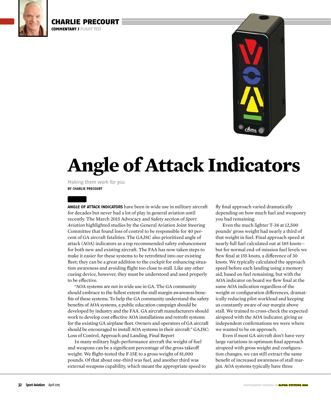



## **Angle of Attack Indicators**

**BY CHARLIE PRECOURT** Making them work for you

CHARLIE PRECOURT

**COMMENTARY / FLIGHT TEST** 

**ANGLE OF ATTACK INDICATORS** have been in wide use in military aircraft for decades but never had a lot of play in general aviation until recently. The March 2015 Advocacy and Safety section of *Sport Aviation* highlighted studies by the General Aviation Joint Steering Committee that found loss of control to be responsible for 40 percent of GA aircraft fatalities. The GAJSC also prioritized angle of attack (AOA) indicators as a top recommended safety enhancement for both new and existing aircraft. The FAA has now taken steps to make it easier for these systems to be retrofitted into our existing fleet; they can be a great addition to the cockpit for enhancing situation awareness and avoiding flight too close to stall. Like any other cueing device, however, they must be understood and used properly to be effective.

 "AOA systems are not in wide use in GA. The GA community should embrace to the fullest extent the stall margin awareness benefits of these systems. To help the GA community understand the safety benefits of AOA systems, a public education campaign should be developed by industry and the FAA. GA aircraft manufacturers should work to develop cost effective AOA installations and retrofit systems for the existing GA airplane fleet. Owners and operators of GA aircraft should be encouraged to install AOA systems in their aircraft." GAJSC: Loss of Control, Approach and Landing, Final Report

 In many military high-performance aircraft the weight of fuel and weapons can be a significant percentage of the gross takeoff weight. We flight-tested the F-15E to a gross weight of 81,000 pounds. Of that about one-third was fuel, and another third was external weapons capability, which meant the appropriate speed to

fly final approach varied dramatically depending on how much fuel and weaponry you had remaining.

 Even the much lighter T-38 at 12,500 pounds' gross weight had nearly a third of that weight in fuel. Final approach speed at nearly full fuel calculated out at 185 knots but for normal end-of-mission fuel levels we flew final at 155 knots, a difference of 30 knots. We typically calculated the approach speed before each landing using a memory aid, based on fuel remaining, but with the AOA indicator on board we flew final at the same AOA indication regardless of the weight or configuration differences, dramatically reducing pilot workload and keeping us constantly aware of our margin above stall. We trained to cross-check the expected airspeed with the AOA indicator, giving us independent confirmations we were where we wanted to be on approach.

 Even if most GA aircraft don't have very large variations in optimum final approach airspeed with gross weight and configuration changes, we can still extract the same benefit of increased awareness of stall margin. AOA systems typically have three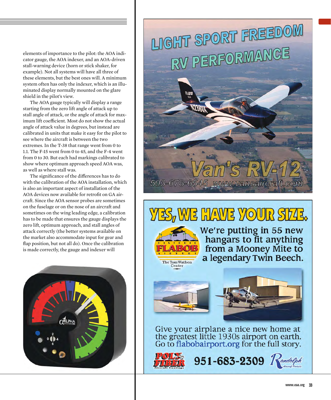elements of importance to the pilot: the AOA indicator gauge, the AOA indexer, and an AOA-driven stall-warning device (horn or stick shaker, for example). Not all systems will have all three of these elements, but the best ones will. A minimum system often has only the indexer, which is an illuminated display normally mounted on the glare shield in the pilot's view.

 The AOA gauge typically will display a range starting from the zero lift angle of attack up to stall angle of attack, or the angle of attack for maximum lift coefficient. Most do not show the actual angle of attack value in degrees, but instead are calibrated in units that make it easy for the pilot to see where the aircraft is between the two extremes. In the T-38 that range went from 0 to 1.1. The F-15 went from 0 to 45, and the F-4 went from 0 to 30. But each had markings calibrated to show where optimum approach speed AOA was, as well as where stall was.

The significance of the differences has to do with the calibration of the AOA installation, which is also an important aspect of installation of the AOA devices now available for retrofit on GA aircraft. Since the AOA sensor probes are sometimes on the fuselage or on the nose of an aircraft and sometimes on the wing leading edge, a calibration has to be made that ensures the gauge displays the zero lift, optimum approach, and stall angles of attack correctly (the better systems available on the market also accommodate input for gear and flap position, but not all do). Once the calibration is made correctly, the gauge and indexer will



# LIGHT SPORT FREEDOM RV PERFORMANCE

### ES, WE HAVE YOUR SF43.

503-678-6545 www.vansaircraft.com



We're putting in 55 new<br>hangars to fit anything<br>from a Mooney Mite to<br>a legendary Twin Beech.



Give your airplane a nice new home at the greatest little 1930s airport on earth.<br>Go to flabobairport.org for the full story.



 $951 - 683 - 2309$  Randolph